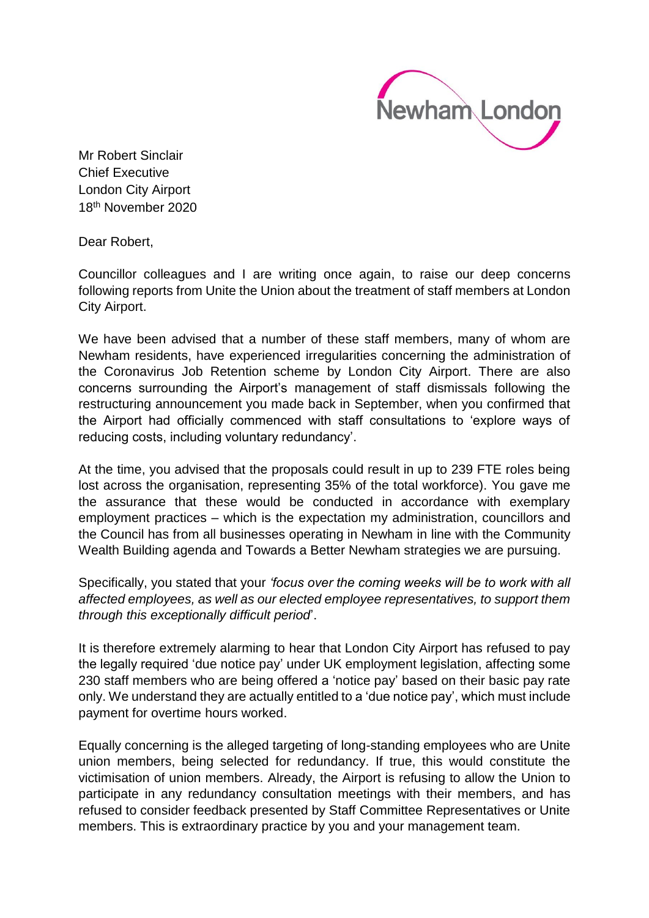

Mr Robert Sinclair Chief Executive London City Airport 18th November 2020

Dear Robert,

Councillor colleagues and I are writing once again, to raise our deep concerns following reports from Unite the Union about the treatment of staff members at London City Airport.

We have been advised that a number of these staff members, many of whom are Newham residents, have experienced irregularities concerning the administration of the Coronavirus Job Retention scheme by London City Airport. There are also concerns surrounding the Airport's management of staff dismissals following the restructuring announcement you made back in September, when you confirmed that the Airport had officially commenced with staff consultations to 'explore ways of reducing costs, including voluntary redundancy'.

At the time, you advised that the proposals could result in up to 239 FTE roles being lost across the organisation, representing 35% of the total workforce). You gave me the assurance that these would be conducted in accordance with exemplary employment practices – which is the expectation my administration, councillors and the Council has from all businesses operating in Newham in line with the Community Wealth Building agenda and Towards a Better Newham strategies we are pursuing.

Specifically, you stated that your *'focus over the coming weeks will be to work with all affected employees, as well as our elected employee representatives, to support them through this exceptionally difficult period*'.

It is therefore extremely alarming to hear that London City Airport has refused to pay the legally required 'due notice pay' under UK employment legislation, affecting some 230 staff members who are being offered a 'notice pay' based on their basic pay rate only. We understand they are actually entitled to a 'due notice pay', which must include payment for overtime hours worked.

Equally concerning is the alleged targeting of long-standing employees who are Unite union members, being selected for redundancy. If true, this would constitute the victimisation of union members. Already, the Airport is refusing to allow the Union to participate in any redundancy consultation meetings with their members, and has refused to consider feedback presented by Staff Committee Representatives or Unite members. This is extraordinary practice by you and your management team.